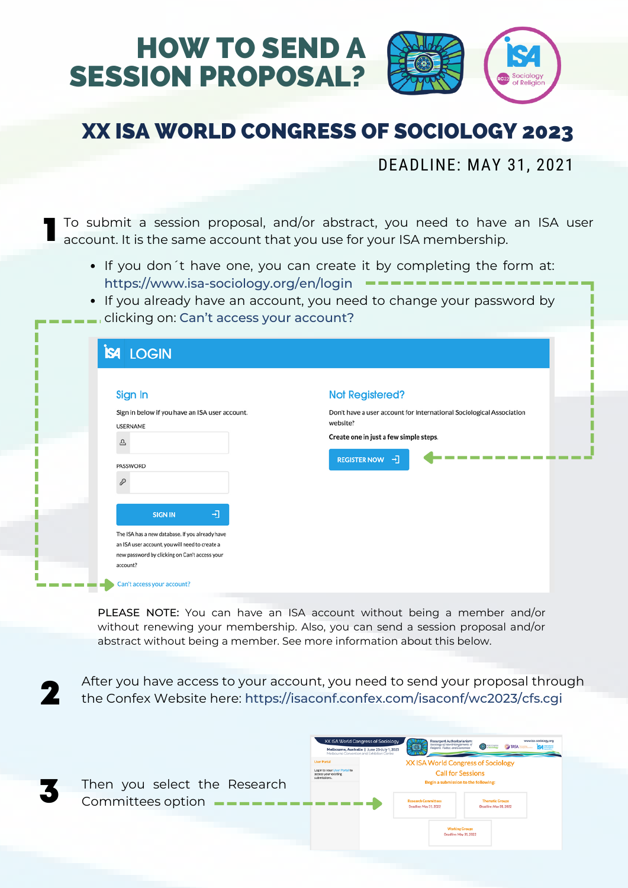

DEADLINE: MAY 31, 2021

1 To submit a session proposal, and/or abstract, you need to have an ISA user account. It is the same account that you use for your ISA membership.

- If you don 't have one, you can create it by completing the form at: <https://www.isa-sociology.org/en/login>
- If you already have an account, you need to change your password by clicking on: Can't access your account?

| Sign In<br>Sign in below if you have an ISA user account.<br><b>USERNAME</b><br>$\Delta$<br>PASSWORD<br>P<br>団<br><b>SIGN IN</b><br>The ISA has a new database. If you already have<br>an ISA user account, you will need to create a<br>new password by clicking on Can't access your | <b>Not Registered?</b><br>Don't have a user account for International Sociological Association<br>website?<br>Create one in just a few simple steps.<br>REGISTER NOW - |
|----------------------------------------------------------------------------------------------------------------------------------------------------------------------------------------------------------------------------------------------------------------------------------------|------------------------------------------------------------------------------------------------------------------------------------------------------------------------|
| account?                                                                                                                                                                                                                                                                               |                                                                                                                                                                        |

PLEASE NOTE: You can have an ISA account without being a member and/or without renewing your membership. Also, you can send a session proposal and/or abstract without being a member. See more information about this below.

2 After you have access to your account, you need to send your proposal through the Confex Website here: <https://isaconf.confex.com/isaconf/wc2023/cfs.cgi>

| Then you select the Research                                                                                                  | Login to your User Portal to<br>access your existing |
|-------------------------------------------------------------------------------------------------------------------------------|------------------------------------------------------|
| Committees option $\longrightarrow$ $\longrightarrow$ $\longrightarrow$ $\longrightarrow$ $\longrightarrow$ $\longrightarrow$ |                                                      |

|                                                                      | XX ISA World Congress of Sociology<br>Melbourne, Australia   June 25-July 1, 2023<br>Melbourne Convention and Exhibition Centre | <b>Resurgent Authoritarianism:</b><br>Sociology of New Entanglements of<br>Religions, Politics, and Economies | www.isa-sociology.org<br>$\overline{\mathbf{Q}}$ and $\overline{\mathbf{Q}}$<br><b>OF TASA</b><br>s — |  |  |
|----------------------------------------------------------------------|---------------------------------------------------------------------------------------------------------------------------------|---------------------------------------------------------------------------------------------------------------|-------------------------------------------------------------------------------------------------------|--|--|
| <b>User Portal</b>                                                   |                                                                                                                                 | <b>XX ISA World Congress of Sociology</b>                                                                     |                                                                                                       |  |  |
| Login to your User Portal to<br>access your existing<br>submissions. | <b>Call for Sessions</b>                                                                                                        |                                                                                                               |                                                                                                       |  |  |
|                                                                      |                                                                                                                                 | Begin a submission to the following:                                                                          |                                                                                                       |  |  |
|                                                                      |                                                                                                                                 | <b>Research Committees</b><br>Deadline: May 31, 2022                                                          | <b>Thematic Groups</b><br>Deadline: May 31, 2022                                                      |  |  |
|                                                                      |                                                                                                                                 | <b>Working Groups</b><br>Deadline: May 31, 2022                                                               |                                                                                                       |  |  |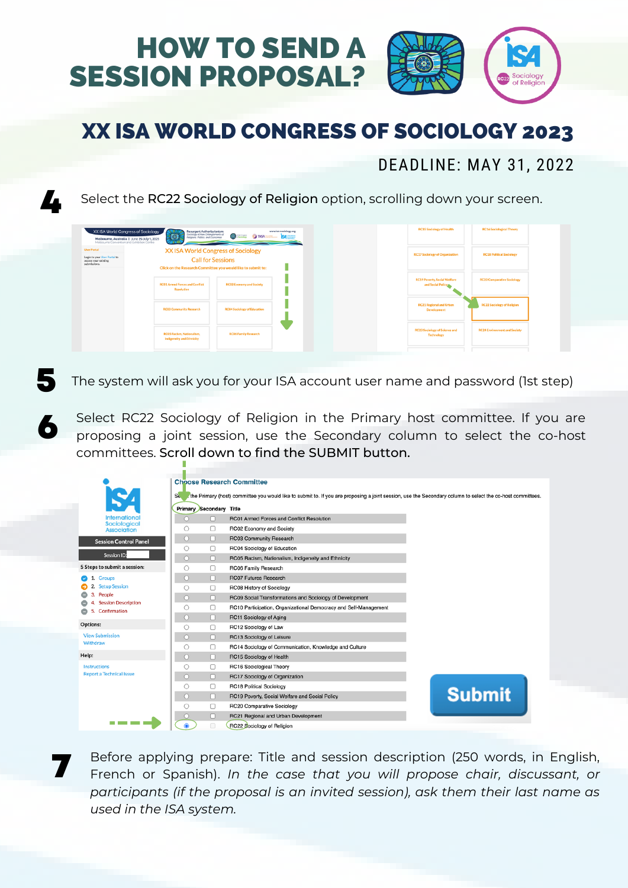

### DEADLINE: MAY 31, 2022

Select the RC22 Sociology of Religion option, scrolling down your screen.

<u>7.</u>

6

7

|                                                                                            | XX ISA World Congress of Sociology<br>澜<br>www.isa-sociology.org<br>Resurgent Authoritarianism:<br>Sociology of New Entanglements of<br>Religions, Politics, and Economies<br><b>O TASA DE SALES</b><br>Melbourne, Australia   June 25-July 1, 2023<br>Melbourne Convention and Exhibition Centre<br><u> The Common School School School School School School School School School School School School School School School School School School School School School School School School School School School School School School</u> | <b>RC15 Sociology of Health</b>                           | <b>RC16 Sociological Theory</b>     |
|--------------------------------------------------------------------------------------------|-------------------------------------------------------------------------------------------------------------------------------------------------------------------------------------------------------------------------------------------------------------------------------------------------------------------------------------------------------------------------------------------------------------------------------------------------------------------------------------------------------------------------------------------|-----------------------------------------------------------|-------------------------------------|
| <b>User Portal</b><br>Login to your User Portal to<br>access your existing<br>submissions. | XX ISA World Congress of Sociology<br><b>Call for Sessions</b><br>Click on the Research Committee you would like to submit to:                                                                                                                                                                                                                                                                                                                                                                                                            | <b>RC17 Sociology of Organization</b>                     | <b>RC18 Political Sociology</b>     |
|                                                                                            | <b>RC01 Armed Forces and Conflict</b><br><b>RC02 Economy and Society</b><br><b>Resolution</b>                                                                                                                                                                                                                                                                                                                                                                                                                                             | <b>RC19 Poverty, Social Welfare</b><br>and Social Policy  | <b>RC20 Comparative Sociology</b>   |
|                                                                                            | <b>RC03 Community Research</b><br><b>RC04 Sociology of Education</b>                                                                                                                                                                                                                                                                                                                                                                                                                                                                      | <b>RC21 Regional and Urban</b><br><b>Development</b>      | <b>RC22 Sociology of Religion</b>   |
|                                                                                            | <b>RC05 Racism, Nationalism,</b><br><b>RC06 Family Research</b><br><b>Indigeneity and Ethnicity</b>                                                                                                                                                                                                                                                                                                                                                                                                                                       | <b>RC23 Sociology of Science and</b><br><b>Technology</b> | <b>RC24 Environment and Society</b> |

**5** The system will ask you for your ISA account user name and password (1st step)

Select RC22 Sociology of Religion in the Primary host committee. If you are proposing a joint session, use the Secondary column to select the co-host committees. Scroll down to find the SUBMIT button.

|                                            | <b>Choose Research Committee</b> |   |                                                                                                                                                            |               |
|--------------------------------------------|----------------------------------|---|------------------------------------------------------------------------------------------------------------------------------------------------------------|---------------|
|                                            | $S_{\rm t}$                      |   | the Primary (host) committee you would like to submit to. If you are proposing a joint session, use the Secondary column to select the co-host committees. |               |
|                                            |                                  |   |                                                                                                                                                            |               |
| <b>International</b>                       | <b>Primary Secondary Title</b>   |   | RC01 Armed Forces and Conflict Resolution                                                                                                                  |               |
| Sociological                               | n                                | п |                                                                                                                                                            |               |
| <b>Association</b>                         | O                                | u | RC02 Economy and Society                                                                                                                                   |               |
| <b>Session Control Panel</b>               | O                                | п | RC03 Community Research                                                                                                                                    |               |
| <b>Session ID:</b>                         | O                                | O | RC04 Sociology of Education                                                                                                                                |               |
|                                            | Ō<br>n                           |   | RC05 Racism, Nationalism, Indigeneity and Ethnicity                                                                                                        |               |
| 5 Steps to submit a session:               | Ω                                | u | RC06 Family Research                                                                                                                                       |               |
| 1.<br><b>Groups</b>                        | O                                | п | <b>RC07 Futures Research</b>                                                                                                                               |               |
| <b>Setup Session</b><br>2.                 | O                                | □ | RC08 History of Sociology                                                                                                                                  |               |
| People<br>з.<br><b>Session Description</b> | $\circ$                          | П | RC09 Social Transformations and Sociology of Development                                                                                                   |               |
| Confirmation<br>5.                         | O                                | o | RC10 Participation, Organizational Democracy and Self-Management                                                                                           |               |
|                                            | $\bigcirc$<br>n                  |   | RC11 Sociology of Aging                                                                                                                                    |               |
| Options:                                   | ∩                                | o | RC12 Sociology of Law                                                                                                                                      |               |
| <b>View Submission</b>                     | n                                | о | RC13 Sociology of Leisure                                                                                                                                  |               |
| Withdraw                                   | o<br>Ω                           |   | RC14 Sociology of Communication, Knowledge and Culture                                                                                                     |               |
| Help:                                      | $\bigcirc$                       | o | RC15 Sociology of Health                                                                                                                                   |               |
| Instructions                               | Ω                                | o | RC16 Sociological Theory                                                                                                                                   |               |
| <b>Report a Technical Issue</b>            | O                                | о | RC17 Sociology of Organization                                                                                                                             |               |
|                                            | O                                | o | <b>RC18 Political Sociology</b>                                                                                                                            |               |
|                                            | n                                | п | RC19 Poverty, Social Welfare and Social Policy                                                                                                             | <b>Submit</b> |
|                                            | □<br>O                           |   | <b>RC20 Comparative Sociology</b>                                                                                                                          |               |
|                                            |                                  | u | RC21 Regional and Urban Development                                                                                                                        |               |
|                                            | $\bullet$                        | o | RC22 Sociology of Religion                                                                                                                                 |               |

Before applying prepare: Title and session description (250 words, in English, French or Spanish). *In the case that you will propose chair, discussant, or participants (if the proposal is an invited session), ask them their last name as used in the ISA system.*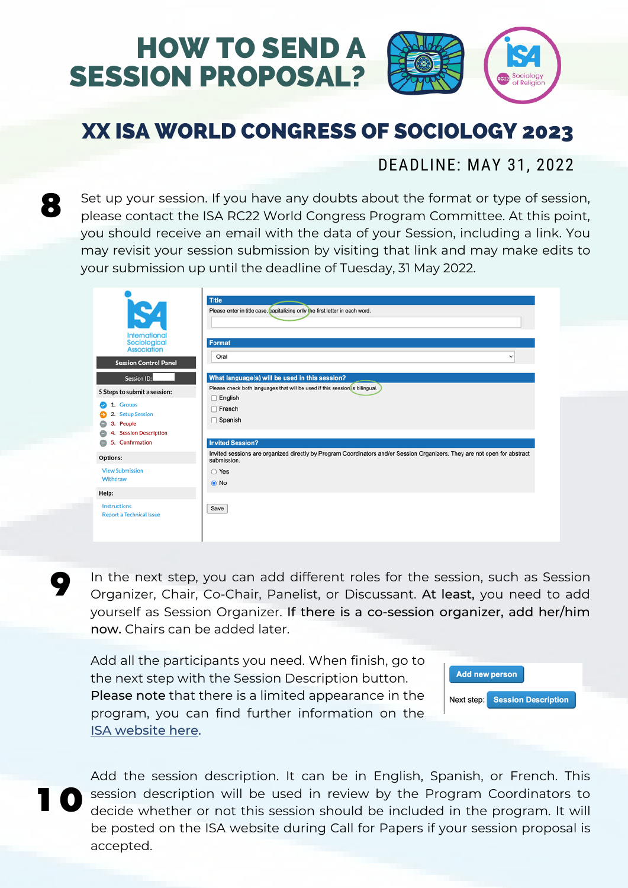

#### DEADLINE: MAY 31, 2022

8

Set up your session. If you have any doubts about the format or type of session, please contact the ISA RC22 World Congress Program Committee. At this point, you should receive an email with the data of your Session, including a link. You may revisit your session submission by visiting that link and may make edits to your submission up until the deadline of Tuesday, 31 May 2022.

| SA<br>International<br>Sociological<br><b>Association</b><br><b>Session Control Panel</b>                                                     | <b>Title</b><br>Please enter in title case, capitalizing only the first letter in each word.<br>Format<br>Oral<br>$\checkmark$                                                                  |
|-----------------------------------------------------------------------------------------------------------------------------------------------|-------------------------------------------------------------------------------------------------------------------------------------------------------------------------------------------------|
| <b>Session ID:</b><br>5 Steps to submit a session:<br>1. Groups<br>2. Setup Session<br>3. People<br>4. Session Description<br>5. Confirmation | What language(s) will be used in this session?<br>Please check both languages that will be used if this session(is bilingual.<br>English<br>$\Box$ French<br>Spanish<br><b>Invited Session?</b> |
| Options:<br><b>View Submission</b><br>Withdraw<br>Help:<br>Instructions<br><b>Report a Technical Issue</b>                                    | Invited sessions are organized directly by Program Coordinators and/or Session Organizers. They are not open for abstract<br>submission.<br>◯ Yes<br>O No<br>Save                               |

In the next step, you can add different roles for the session, such as Session Organizer, Chair, Co-Chair, Panelist, or Discussant. At least, you need to add yourself as Session Organizer. If there is a co-session organizer, add her/him now. Chairs can be added later.

Add all the participants you need. When finish, go to the next step with the Session Description button. Please note that there is a limited appearance in the program, you can find further information on the ISA [website](https://www.isa-sociology.org/en/conferences/world-congress/melbourne-2023/guidelines-for-program-coordinators-and-session-organizers-2023) here.



1 0

9

Add the session description. It can be in English, Spanish, or French. This session description will be used in review by the Program Coordinators to decide whether or not this session should be included in the program. It will be posted on the ISA website during Call for Papers if your session proposal is accepted.